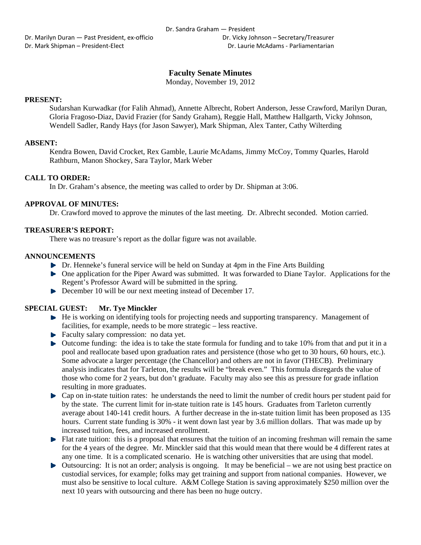Dr. Marilyn Duran — Past President, ex‐officio Dr. Vicky Johnson – Secretary/Treasurer Dr. Mark Shipman – President‐Elect Dr. Laurie McAdams ‐ Parliamentarian

# **Faculty Senate Minutes**

Monday, November 19, 2012

## **PRESENT:**

Sudarshan Kurwadkar (for Falih Ahmad), Annette Albrecht, Robert Anderson, Jesse Crawford, Marilyn Duran, Gloria Fragoso-Diaz, David Frazier (for Sandy Graham), Reggie Hall, Matthew Hallgarth, Vicky Johnson, Wendell Sadler, Randy Hays (for Jason Sawyer), Mark Shipman, Alex Tanter, Cathy Wilterding

### **ABSENT:**

Kendra Bowen, David Crocket, Rex Gamble, Laurie McAdams, Jimmy McCoy, Tommy Quarles, Harold Rathburn, Manon Shockey, Sara Taylor, Mark Weber

## **CALL TO ORDER:**

In Dr. Graham's absence, the meeting was called to order by Dr. Shipman at 3:06.

## **APPROVAL OF MINUTES:**

Dr. Crawford moved to approve the minutes of the last meeting. Dr. Albrecht seconded. Motion carried.

### **TREASURER'S REPORT:**

There was no treasure's report as the dollar figure was not available.

### **ANNOUNCEMENTS**

- Dr. Henneke's funeral service will be held on Sunday at 4pm in the Fine Arts Building
- One application for the Piper Award was submitted. It was forwarded to Diane Taylor. Applications for the Regent's Professor Award will be submitted in the spring.
- December 10 will be our next meeting instead of December 17.

## **SPECIAL GUEST: Mr. Tye Minckler**

- $\blacktriangleright$  He is working on identifying tools for projecting needs and supporting transparency. Management of facilities, for example, needs to be more strategic – less reactive.
- Faculty salary compression: no data yet.
- $\blacktriangleright$  Outcome funding: the idea is to take the state formula for funding and to take 10% from that and put it in a pool and reallocate based upon graduation rates and persistence (those who get to 30 hours, 60 hours, etc.). Some advocate a larger percentage (the Chancellor) and others are not in favor (THECB). Preliminary analysis indicates that for Tarleton, the results will be "break even." This formula disregards the value of those who come for 2 years, but don't graduate. Faculty may also see this as pressure for grade inflation resulting in more graduates.
- Cap on in-state tuition rates: he understands the need to limit the number of credit hours per student paid for by the state. The current limit for in-state tuition rate is 145 hours. Graduates from Tarleton currently average about 140-141 credit hours. A further decrease in the in-state tuition limit has been proposed as 135 hours. Current state funding is 30% - it went down last year by 3.6 million dollars. That was made up by increased tuition, fees, and increased enrollment.
- **Flat rate tuition:** this is a proposal that ensures that the tuition of an incoming freshman will remain the same for the 4 years of the degree. Mr. Minckler said that this would mean that there would be 4 different rates at any one time. It is a complicated scenario. He is watching other universities that are using that model.
- Outsourcing: It is not an order; analysis is ongoing. It may be beneficial we are not using best practice on custodial services, for example; folks may get training and support from national companies. However, we must also be sensitive to local culture. A&M College Station is saving approximately \$250 million over the next 10 years with outsourcing and there has been no huge outcry.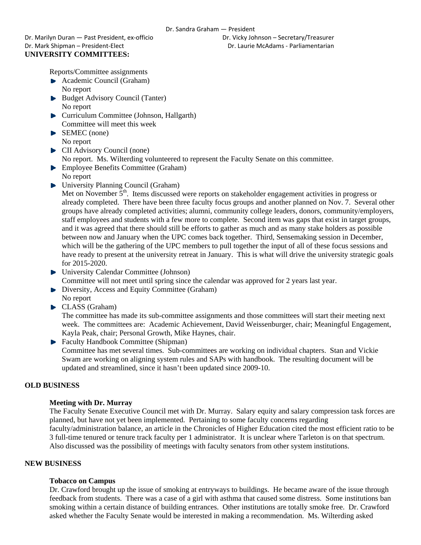Dr. Marilyn Duran — Past President, ex‐officio Dr. Vicky Johnson – Secretary/Treasurer Dr. Mark Shipman – President‐Elect Dr. Laurie McAdams ‐ Parliamentarian **UNIVERSITY COMMITTEES:** 

Reports/Committee assignments

- Academic Council (Graham)
- No report
- Budget Advisory Council (Tanter) No report
- **Curriculum Committee (Johnson, Hallgarth)** Committee will meet this week
- SEMEC (none) No report
- ▶ CII Advisory Council (none) No report. Ms. Wilterding volunteered to represent the Faculty Senate on this committee.
- **Employee Benefits Committee (Graham)**
- No report ▶ University Planning Council (Graham)
	- Met on November  $\bar{5}^{th}$ . Items discussed were reports on stakeholder engagement activities in progress or already completed. There have been three faculty focus groups and another planned on Nov. 7. Several other groups have already completed activities; alumni, community college leaders, donors, community/employers, staff employees and students with a few more to complete. Second item was gaps that exist in target groups, and it was agreed that there should still be efforts to gather as much and as many stake holders as possible between now and January when the UPC comes back together. Third, Sensemaking session in December, which will be the gathering of the UPC members to pull together the input of all of these focus sessions and have ready to present at the university retreat in January. This is what will drive the university strategic goals for 2015-2020.
- University Calendar Committee (Johnson) Committee will not meet until spring since the calendar was approved for 2 years last year.
- Diversity, Access and Equity Committee (Graham) No report
- CLASS (Graham)

The committee has made its sub-committee assignments and those committees will start their meeting next week. The committees are: Academic Achievement, David Weissenburger, chair; Meaningful Engagement, Kayla Peak, chair; Personal Growth, Mike Haynes, chair.

▶ Faculty Handbook Committee (Shipman) Committee has met several times. Sub-committees are working on individual chapters. Stan and Vickie Swam are working on aligning system rules and SAPs with handbook. The resulting document will be updated and streamlined, since it hasn't been updated since 2009-10.

# **OLD BUSINESS**

# **Meeting with Dr. Murray**

The Faculty Senate Executive Council met with Dr. Murray. Salary equity and salary compression task forces are planned, but have not yet been implemented. Pertaining to some faculty concerns regarding faculty/administration balance, an article in the Chronicles of Higher Education cited the most efficient ratio to be 3 full-time tenured or tenure track faculty per 1 administrator. It is unclear where Tarleton is on that spectrum. Also discussed was the possibility of meetings with faculty senators from other system institutions.

# **NEW BUSINESS**

# **Tobacco on Campus**

Dr. Crawford brought up the issue of smoking at entryways to buildings. He became aware of the issue through feedback from students. There was a case of a girl with asthma that caused some distress. Some institutions ban smoking within a certain distance of building entrances. Other institutions are totally smoke free. Dr. Crawford asked whether the Faculty Senate would be interested in making a recommendation. Ms. Wilterding asked